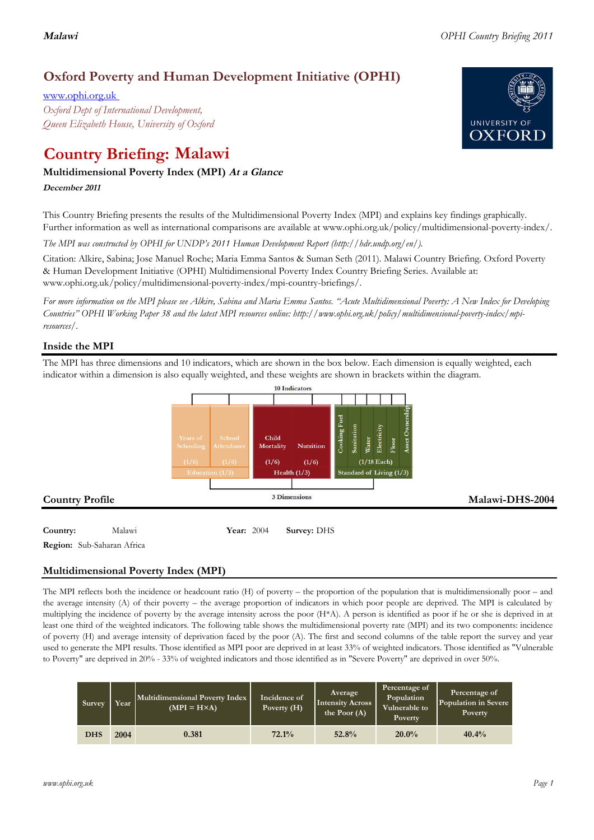# **Malawi** *OPHI Country Briefing 2011*

# **Oxford Poverty and Human Development Initiative (OPHI)**

www.ophi.org.uk *Oxford Dept of International Development, Queen Elizabeth House, University of Oxford*

# **Country Briefing: Malawi**

# **Multidimensional Poverty Index (MPI) At <sup>a</sup> Glance**

**December <sup>2011</sup>**

This Country Briefing presents the results of the Multidimensional Poverty Index (MPI) and explains key findings graphically. Further information as well as international comparisons are available at www.ophi.org.uk/policy/multidimensional-poverty-index/.

*The MPI was constructed by OPHI for UNDP's 2011 Human Development Report (http://hdr.undp.org/en/).*

Citation: Alkire, Sabina; Jose Manuel Roche; Maria Emma Santos & Suman Seth (2011). Malawi Country Briefing. Oxford Poverty & Human Development Initiative (OPHI) Multidimensional Poverty Index Country Briefing Series. Available at: www.ophi.org.uk/policy/multidimensional-poverty-index/mpi-country-briefings/.

*For more information on the MPI please see Alkire, Sabina and Maria Emma Santos. "Acute Multidimensional Poverty: A New Index for Developing Countries" OPHI Working Paper 38 and the latest MPI resources online: http://www.ophi.org.uk/policy/multidimensional-poverty-index/mpiresources/.*

# **Inside the MPI**

The MPI has three dimensions and 10 indicators, which are shown in the box below. Each dimension is equally weighted, each indicator within a dimension is also equally weighted, and these weights are shown in brackets within the diagram.



# **Multidimensional Poverty Index (MPI)**

The MPI reflects both the incidence or headcount ratio (H) of poverty – the proportion of the population that is multidimensionally poor – and the average intensity (A) of their poverty – the average proportion of indicators in which poor people are deprived. The MPI is calculated by multiplying the incidence of poverty by the average intensity across the poor (H\*A). A person is identified as poor if he or she is deprived in at least one third of the weighted indicators. The following table shows the multidimensional poverty rate (MPI) and its two components: incidence of poverty (H) and average intensity of deprivation faced by the poor (A). The first and second columns of the table report the survey and year used to generate the MPI results. Those identified as MPI poor are deprived in at least 33% of weighted indicators. Those identified as "Vulnerable to Poverty" are deprived in 20% - 33% of weighted indicators and those identified as in "Severe Poverty" are deprived in over 50%.

| Survey     | Year | Multidimensional Poverty Index<br>$(MPI = H \times A)$ | Incidence of<br>Poverty (H) | Average<br><b>Intensity Across</b><br>the Poor $(A)$ | Percentage of<br>Population<br>Vulnerable to<br>Poverty | Percentage of<br>Population in Severe<br>Poverty |
|------------|------|--------------------------------------------------------|-----------------------------|------------------------------------------------------|---------------------------------------------------------|--------------------------------------------------|
| <b>DHS</b> | 2004 | 0.381                                                  | 72.1%                       | 52.8%                                                | 20.0%                                                   | 40.4%                                            |

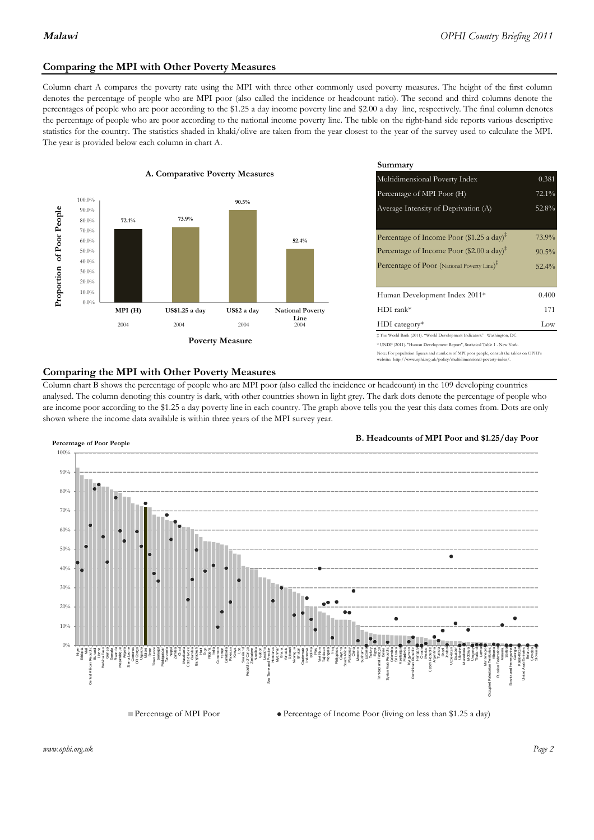## **Comparing the MPI with Other Poverty Measures**

Column chart A compares the poverty rate using the MPI with three other commonly used poverty measures. The height of the first column denotes the percentage of people who are MPI poor (also called the incidence or headcount ratio). The second and third columns denote the percentages of people who are poor according to the \$1.25 a day income poverty line and \$2.00 a day line, respectively. The final column denotes the percentage of people who are poor according to the national income poverty line. The table on the right-hand side reports various descriptive statistics for the country. The statistics shaded in khaki/olive are taken from the year closest to the year of the survey used to calculate the MPI. The year is provided below each column in chart A.



|                 |                         | Summary                                                                                                                                                   |          |  |  |
|-----------------|-------------------------|-----------------------------------------------------------------------------------------------------------------------------------------------------------|----------|--|--|
| erty Measures   |                         | 0.381<br>Multidimensional Poverty Index                                                                                                                   |          |  |  |
|                 |                         | Percentage of MPI Poor (H)                                                                                                                                | 72.1%    |  |  |
| 90.5%           |                         | Average Intensity of Deprivation (A)                                                                                                                      | 52.8%    |  |  |
|                 | 52.4%                   | Percentage of Income Poor (\$1.25 a day) <sup><math>\ddagger</math></sup>                                                                                 | 73.9%    |  |  |
|                 |                         | Percentage of Income Poor (\$2.00 a day) <sup><math>\bar{x}</math></sup>                                                                                  | $90.5\%$ |  |  |
|                 |                         | Percentage of Poor (National Poverty Line) <sup>#</sup>                                                                                                   | $52.4\%$ |  |  |
|                 |                         | Human Development Index 2011*                                                                                                                             | 0.400    |  |  |
| US\$2 a day     | <b>National Poverty</b> | $HDI$ rank*                                                                                                                                               | 171      |  |  |
| 2004            | Line<br>2004            | $HDI category*$                                                                                                                                           | Low      |  |  |
| <b>⁄Ieasure</b> |                         | $\pm$ The World Bank (2011). "World Development Indicators." Washington, DC.<br>* UNDP (2011). "Human Development Report", Statistical Table 1. New York. |          |  |  |

te: For population figures and numbers of MPI poor people, consult the tables on OPHI's te: http://www.ophi.org.uk/policy/multidimensional-poverty-index/

### **Comparing the MPI with Other Poverty Measures**

Column chart B shows the percentage of people who are MPI poor (also called the incidence or headcount) in the 109 developing countries analysed. The column denoting this country is dark, with other countries shown in light grey. The dark dots denote the percentage of people who are income poor according to the \$1.25 a day poverty line in each country. The graph above tells you the year this data comes from. Dots are only shown where the income data available is within three years of the MPI survey year.



**B. Headcounts of MPI Poor and \$1.25/day Poor**

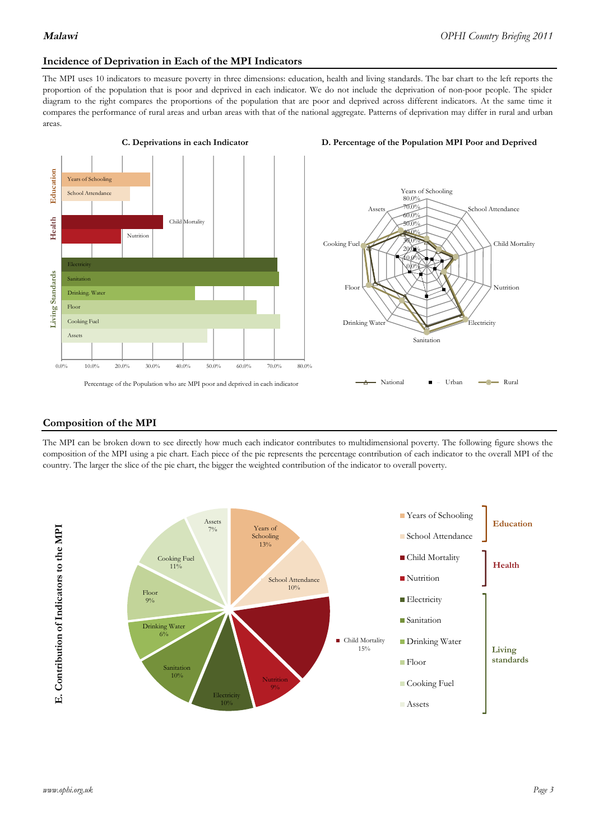# **Incidence of Deprivation in Each of the MPI Indicators**

The MPI uses 10 indicators to measure poverty in three dimensions: education, health and living standards. The bar chart to the left reports the proportion of the population that is poor and deprived in each indicator. We do not include the deprivation of non-poor people. The spider diagram to the right compares the proportions of the population that are poor and deprived across different indicators. At the same time it compares the performance of rural areas and urban areas with that of the national aggregate. Patterns of deprivation may differ in rural and urban areas.





### **Composition of the MPI**

The MPI can be broken down to see directly how much each indicator contributes to multidimensional poverty. The following figure shows the composition of the MPI using a pie chart. Each piece of the pie represents the percentage contribution of each indicator to the overall MPI of the country. The larger the slice of the pie chart, the bigger the weighted contribution of the indicator to overall poverty.

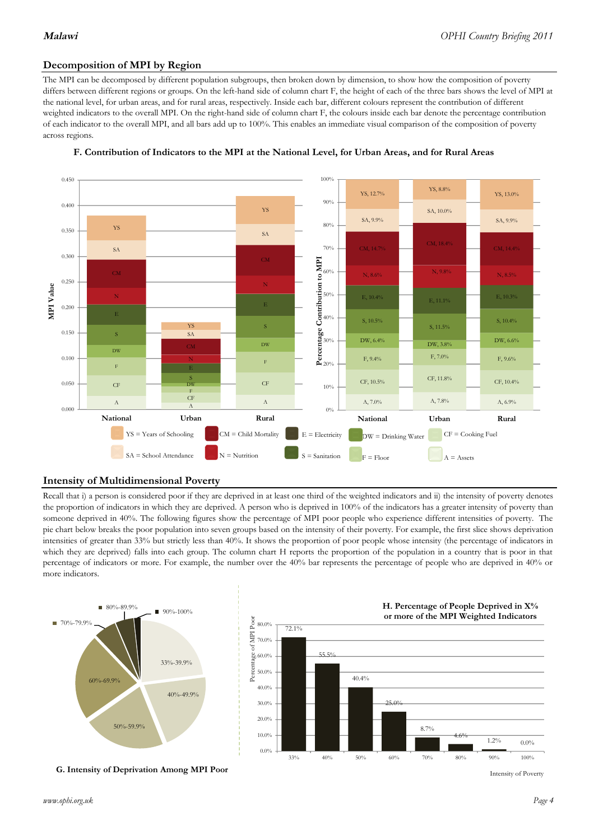# **Decomposition of MPI by Region**

The MPI can be decomposed by different population subgroups, then broken down by dimension, to show how the composition of poverty differs between different regions or groups. On the left-hand side of column chart F, the height of each of the three bars shows the level of MPI at the national level, for urban areas, and for rural areas, respectively. Inside each bar, different colours represent the contribution of different weighted indicators to the overall MPI. On the right-hand side of column chart F, the colours inside each bar denote the percentage contribution of each indicator to the overall MPI, and all bars add up to 100%. This enables an immediate visual comparison of the composition of poverty across regions.





## **Intensity of Multidimensional Poverty**

Recall that i) a person is considered poor if they are deprived in at least one third of the weighted indicators and ii) the intensity of poverty denotes the proportion of indicators in which they are deprived. A person who is deprived in 100% of the indicators has a greater intensity of poverty than someone deprived in 40%. The following figures show the percentage of MPI poor people who experience different intensities of poverty. The pie chart below breaks the poor population into seven groups based on the intensity of their poverty. For example, the first slice shows deprivation intensities of greater than 33% but strictly less than 40%. It shows the proportion of poor people whose intensity (the percentage of indicators in which they are deprived) falls into each group. The column chart H reports the proportion of the population in a country that is poor in that percentage of indicators or more. For example, the number over the 40% bar represents the percentage of people who are deprived in 40% or more indicators.



**G. Intensity of Deprivation Among MPI Poor**



Intensity of Poverty